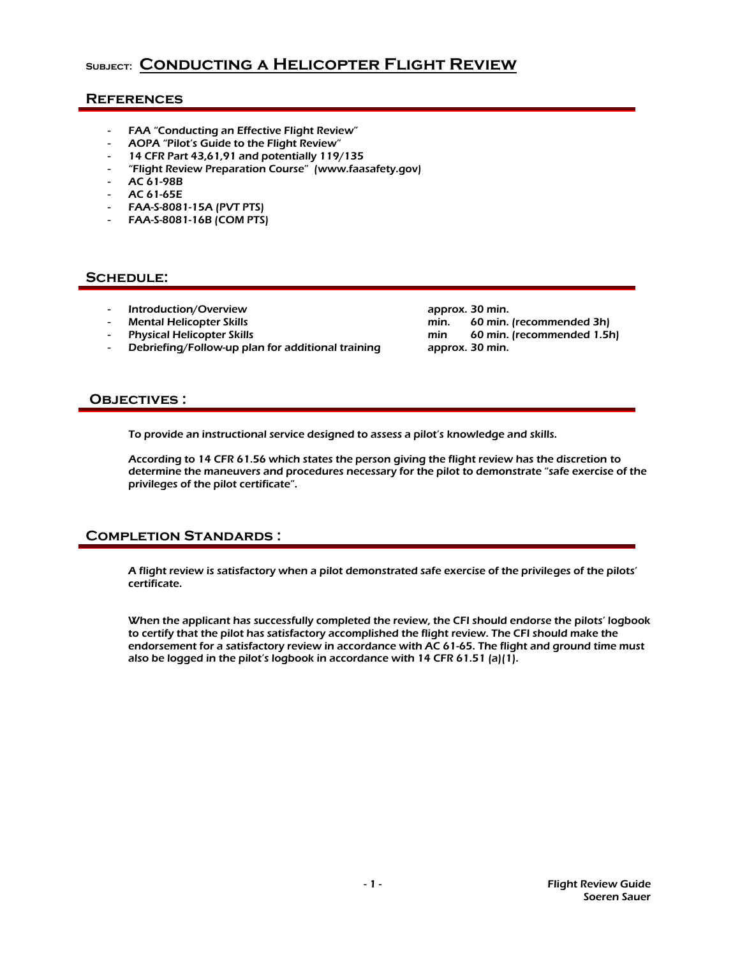# **Subject: Conducting a Helicopter Flight Review**

## **References**

- FAA "Conducting an Effective Flight Review"
- AOPA "Pilot's Guide to the Flight Review"
- 14 CFR Part 43,61,91 and potentially 119/135
- "Flight Review Preparation Course" (www.faasafety.gov)
- AC 61-98B
- AC 61-65E
- FAA-S-8081-15A (PVT PTS)
- FAA-S-8081-16B (COM PTS)

## SCHEDULE:

- 
- 
- 
- Debriefing/Follow-up plan for additional training

11 Introduction/Overview approx. 30 min.<br>19 Mental Helicopter Skills and the min. 60 min. min. 60 min. (recommended 3h) Physical Helicopter Skills min 60 min 60 min. (recommended 1.5h)<br>Debriefing/Follow-up plan for additional training approx. 30 min.

## **Objectives :**

To provide an instructional service designed to assess a pilot's knowledge and skills.

According to 14 CFR 61.56 which states the person giving the flight review has the discretion to determine the maneuvers and procedures necessary for the pilot to demonstrate "safe exercise of the privileges of the pilot certificate".

## **Completion Standards :**

A flight review is satisfactory when a pilot demonstrated safe exercise of the privileges of the pilots' certificate.

When the applicant has successfully completed the review, the CFI should endorse the pilots' logbook to certify that the pilot has satisfactory accomplished the flight review. The CFI should make the endorsement for a satisfactory review in accordance with AC 61-65. The flight and ground time must also be logged in the pilot's logbook in accordance with 14 CFR 61.51 (a)(1).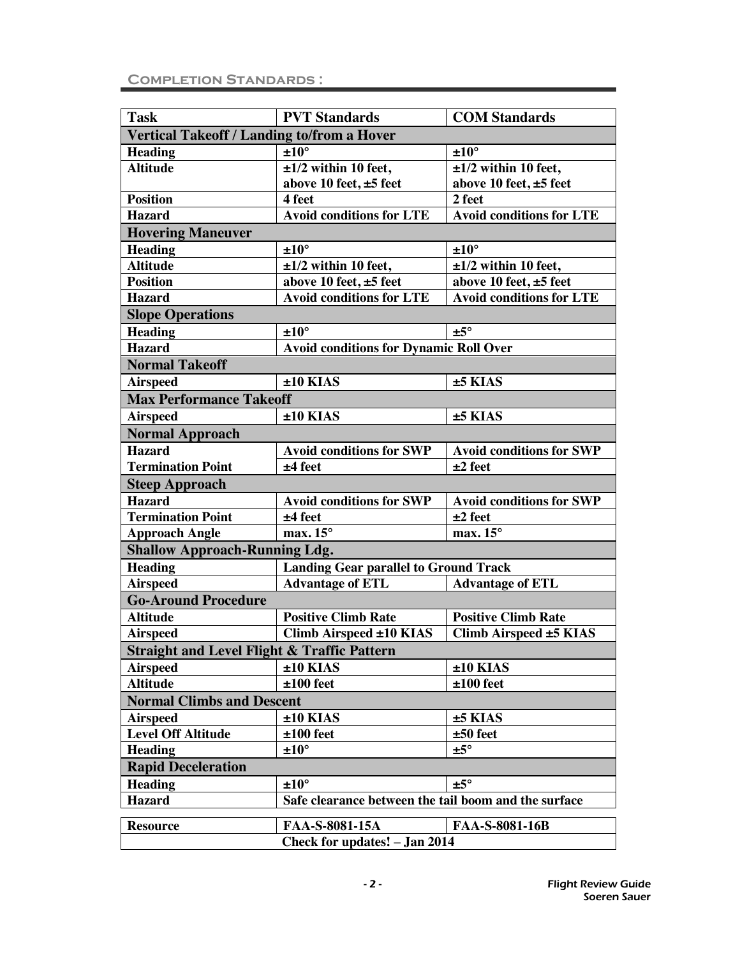| <b>Task</b>                                            | <b>PVT Standards</b>                                 | <b>COM Standards</b>            |  |
|--------------------------------------------------------|------------------------------------------------------|---------------------------------|--|
|                                                        |                                                      |                                 |  |
| Vertical Takeoff / Landing to/from a Hover             |                                                      |                                 |  |
| <b>Heading</b>                                         | $±10^{\circ}$                                        | ±10°                            |  |
| <b>Altitude</b>                                        | $\pm 1/2$ within 10 feet,                            | $\pm 1/2$ within 10 feet,       |  |
|                                                        | above 10 feet, $\pm 5$ feet                          | above 10 feet, $\pm 5$ feet     |  |
| <b>Position</b>                                        | 4 feet                                               | 2 feet                          |  |
| <b>Hazard</b>                                          | <b>Avoid conditions for LTE</b>                      | <b>Avoid conditions for LTE</b> |  |
| <b>Hovering Maneuver</b>                               |                                                      |                                 |  |
| <b>Heading</b>                                         | $±10^{\circ}$                                        | ±10°                            |  |
| <b>Altitude</b>                                        | $\pm 1/2$ within 10 feet,                            | $\pm 1/2$ within 10 feet,       |  |
| <b>Position</b>                                        | above 10 feet, ±5 feet                               | above 10 feet, ±5 feet          |  |
| <b>Hazard</b>                                          | <b>Avoid conditions for LTE</b>                      | <b>Avoid conditions for LTE</b> |  |
| <b>Slope Operations</b>                                |                                                      |                                 |  |
| <b>Heading</b>                                         | $±10^{\circ}$                                        | $±5^{\circ}$                    |  |
| <b>Hazard</b>                                          | <b>Avoid conditions for Dynamic Roll Over</b>        |                                 |  |
| <b>Normal Takeoff</b>                                  |                                                      |                                 |  |
| <b>Airspeed</b>                                        | $±10$ KIAS                                           | $±5$ KIAS                       |  |
| <b>Max Performance Takeoff</b>                         |                                                      |                                 |  |
| <b>Airspeed</b>                                        | $±10$ KIAS                                           | $±5$ KIAS                       |  |
| <b>Normal Approach</b>                                 |                                                      |                                 |  |
| <b>Hazard</b>                                          | <b>Avoid conditions for SWP</b>                      | <b>Avoid conditions for SWP</b> |  |
| <b>Termination Point</b>                               | $±4$ feet                                            | $±2$ feet                       |  |
| <b>Steep Approach</b>                                  |                                                      |                                 |  |
| <b>Hazard</b>                                          | <b>Avoid conditions for SWP</b>                      | <b>Avoid conditions for SWP</b> |  |
| <b>Termination Point</b>                               | $±4$ feet                                            | $±2$ feet                       |  |
| <b>Approach Angle</b>                                  | $max.15^\circ$                                       | max. $15^\circ$                 |  |
| <b>Shallow Approach-Running Ldg.</b>                   |                                                      |                                 |  |
| <b>Heading</b>                                         | <b>Landing Gear parallel to Ground Track</b>         |                                 |  |
|                                                        |                                                      |                                 |  |
| <b>Airspeed</b><br><b>Go-Around Procedure</b>          | <b>Advantage of ETL</b>                              | <b>Advantage of ETL</b>         |  |
|                                                        |                                                      |                                 |  |
| <b>Altitude</b>                                        | <b>Positive Climb Rate</b>                           | <b>Positive Climb Rate</b>      |  |
| <b>Airspeed</b>                                        | Climb Airspeed ±10 KIAS                              | Climb Airspeed ±5 KIAS          |  |
| <b>Straight and Level Flight &amp; Traffic Pattern</b> |                                                      |                                 |  |
| <b>Airspeed</b>                                        | $±10$ KIAS                                           | $±10$ KIAS                      |  |
| <b>Altitude</b>                                        | $±100$ feet                                          | $±100$ feet                     |  |
| <b>Normal Climbs and Descent</b>                       |                                                      |                                 |  |
| <b>Airspeed</b>                                        | $±10$ KIAS                                           | $±5$ KIAS                       |  |
| <b>Level Off Altitude</b>                              | $±100$ feet                                          | $±50$ feet                      |  |
| <b>Heading</b>                                         | ±10°                                                 | $±5^\circ$                      |  |
| <b>Rapid Deceleration</b>                              |                                                      |                                 |  |
| <b>Heading</b>                                         | ±10°                                                 | $±5^{\circ}$                    |  |
| <b>Hazard</b>                                          | Safe clearance between the tail boom and the surface |                                 |  |
| <b>Resource</b>                                        | FAA-S-8081-15A                                       | FAA-S-8081-16B                  |  |
|                                                        | Check for updates! - Jan 2014                        |                                 |  |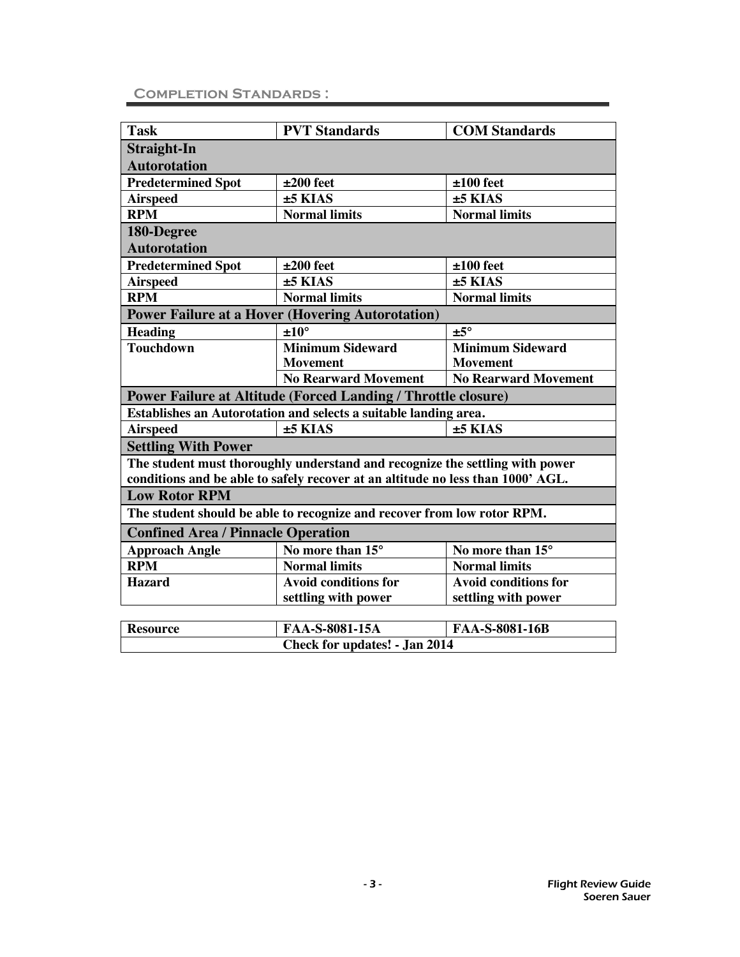## **Completion Standards :**

| <b>Task</b>                                             | <b>PVT</b> Standards                                                            | <b>COM Standards</b>        |
|---------------------------------------------------------|---------------------------------------------------------------------------------|-----------------------------|
|                                                         |                                                                                 |                             |
| <b>Straight-In</b>                                      |                                                                                 |                             |
| <b>Autorotation</b>                                     |                                                                                 |                             |
| <b>Predetermined Spot</b>                               | $±200$ feet                                                                     | $±100$ feet                 |
| <b>Airspeed</b>                                         | $±5$ KIAS                                                                       | $±5$ KIAS                   |
| <b>RPM</b>                                              | <b>Normal limits</b>                                                            | <b>Normal limits</b>        |
| 180-Degree                                              |                                                                                 |                             |
| <b>Autorotation</b>                                     |                                                                                 |                             |
| <b>Predetermined Spot</b>                               | $±200$ feet                                                                     | $±100$ feet                 |
| <b>Airspeed</b>                                         | $±5$ KIAS                                                                       | $±5$ KIAS                   |
| <b>RPM</b>                                              | <b>Normal limits</b>                                                            | <b>Normal limits</b>        |
| <b>Power Failure at a Hover (Hovering Autorotation)</b> |                                                                                 |                             |
| <b>Heading</b>                                          | $±10^{\circ}$                                                                   | $±5^{\circ}$                |
| <b>Touchdown</b>                                        | <b>Minimum Sideward</b>                                                         | <b>Minimum Sideward</b>     |
|                                                         | <b>Movement</b>                                                                 | <b>Movement</b>             |
|                                                         | <b>No Rearward Movement</b>                                                     | <b>No Rearward Movement</b> |
|                                                         | Power Failure at Altitude (Forced Landing / Throttle closure)                   |                             |
|                                                         | Establishes an Autorotation and selects a suitable landing area.                |                             |
| <b>Airspeed</b>                                         | $±5$ KIAS                                                                       | $±5$ KIAS                   |
| <b>Settling With Power</b>                              |                                                                                 |                             |
|                                                         | The student must thoroughly understand and recognize the settling with power    |                             |
|                                                         | conditions and be able to safely recover at an altitude no less than 1000' AGL. |                             |
| <b>Low Rotor RPM</b>                                    |                                                                                 |                             |
|                                                         | The student should be able to recognize and recover from low rotor RPM.         |                             |
| <b>Confined Area / Pinnacle Operation</b>               |                                                                                 |                             |
| <b>Approach Angle</b>                                   | No more than 15°                                                                | No more than 15°            |
| <b>RPM</b>                                              | <b>Normal limits</b>                                                            | <b>Normal limits</b>        |
| <b>Hazard</b>                                           | Avoid conditions for                                                            | <b>Avoid conditions for</b> |
|                                                         | settling with power                                                             | settling with power         |
|                                                         |                                                                                 |                             |
| <b>Resource</b>                                         | FAA-S-8081-15A                                                                  | FAA-S-8081-16B              |
|                                                         | <b>Check for updates! - Jan 2014</b>                                            |                             |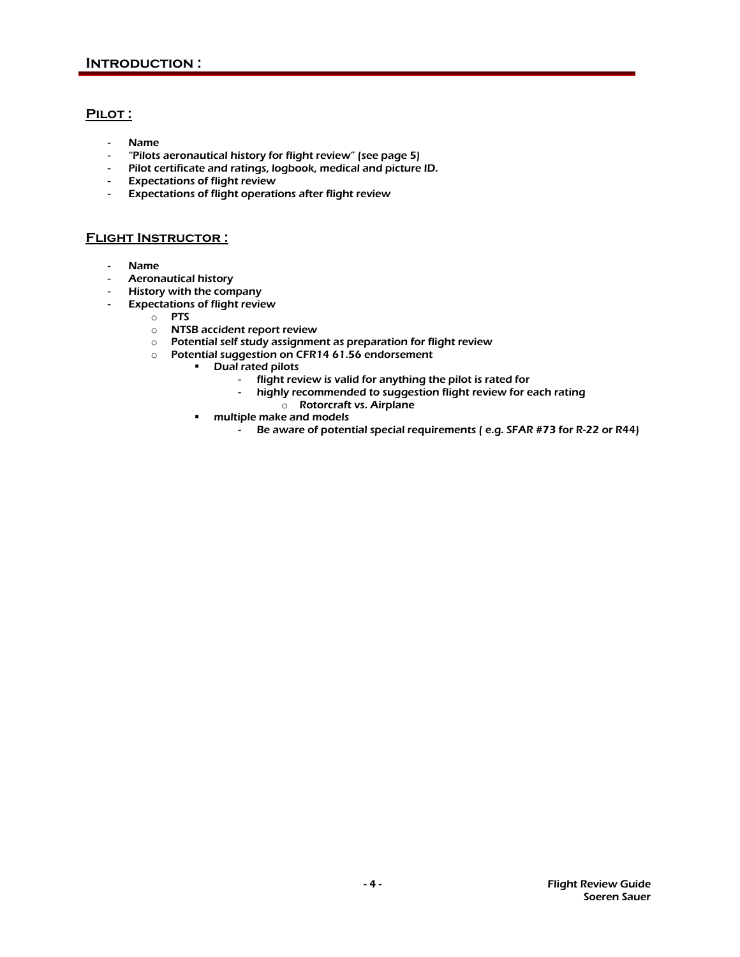## PILOT:

- Name
- "Pilots aeronautical history for flight review" (see page 5)
- Pilot certificate and ratings, logbook, medical and picture ID.
- Expectations of flight review
- Expectations of flight operations after flight review

### **Flight Instructor :**

- Name
- Aeronautical history
- History with the company
- Expectations of flight review
	- o PTS
	- o NTSB accident report review
	- o Potential self study assignment as preparation for flight review
	- $\circ$  Potential suggestion on CFR14 61.56 endorsement
		- Dual rated pilots
			- flight review is valid for anything the pilot is rated for
			- highly recommended to suggestion flight review for each rating
				- o Rotorcraft vs. Airplane
		- multiple make and models
			- Be aware of potential special requirements ( e.g. SFAR #73 for R-22 or R44)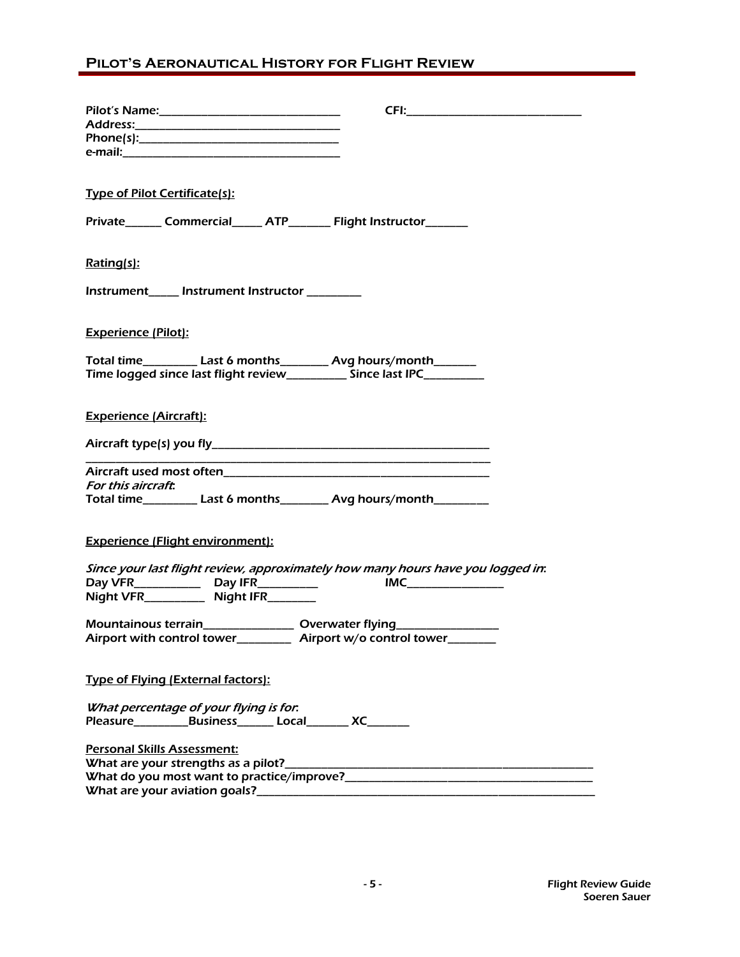# **Pilot's Aeronautical History for Flight Review**

| <b>Type of Pilot Certificate(s):</b>                                            |
|---------------------------------------------------------------------------------|
| Private_______ Commercial______ ATP________ Flight Instructor________           |
|                                                                                 |
|                                                                                 |
|                                                                                 |
| <u>Rating(s):</u>                                                               |
|                                                                                 |
| Instrument_____ Instrument Instructor ________                                  |
|                                                                                 |
|                                                                                 |
| <b>Experience (Pilot):</b>                                                      |
|                                                                                 |
| Total time___________ Last 6 months__________ Avg hours/month________           |
| Time logged since last flight review____________ Since last IPC__________       |
|                                                                                 |
|                                                                                 |
| <b>Experience (Aircraft):</b>                                                   |
|                                                                                 |
|                                                                                 |
|                                                                                 |
|                                                                                 |
|                                                                                 |
| For this aircraft.                                                              |
| Total time___________ Last 6 months__________ Avg hours/month__________         |
|                                                                                 |
|                                                                                 |
| <b>Experience (Flight environment):</b>                                         |
|                                                                                 |
| Since your last flight review, approximately how many hours have you logged in: |
| <b>IMC_________________</b>                                                     |
| Night VFR_________ Night IFR_______                                             |
|                                                                                 |
| Mountainous terrain__________________ Overwater flying____________________      |
| Airport with control tower_____________ Airport w/o control tower________       |
|                                                                                 |
|                                                                                 |
| <b>Type of Flying (External factors):</b>                                       |
|                                                                                 |
| What percentage of your flying is for.                                          |
| Pleasure_____________Business________ Local_________ XC________                 |
|                                                                                 |
| <b>Personal Skills Assessment:</b>                                              |
|                                                                                 |
|                                                                                 |
|                                                                                 |
|                                                                                 |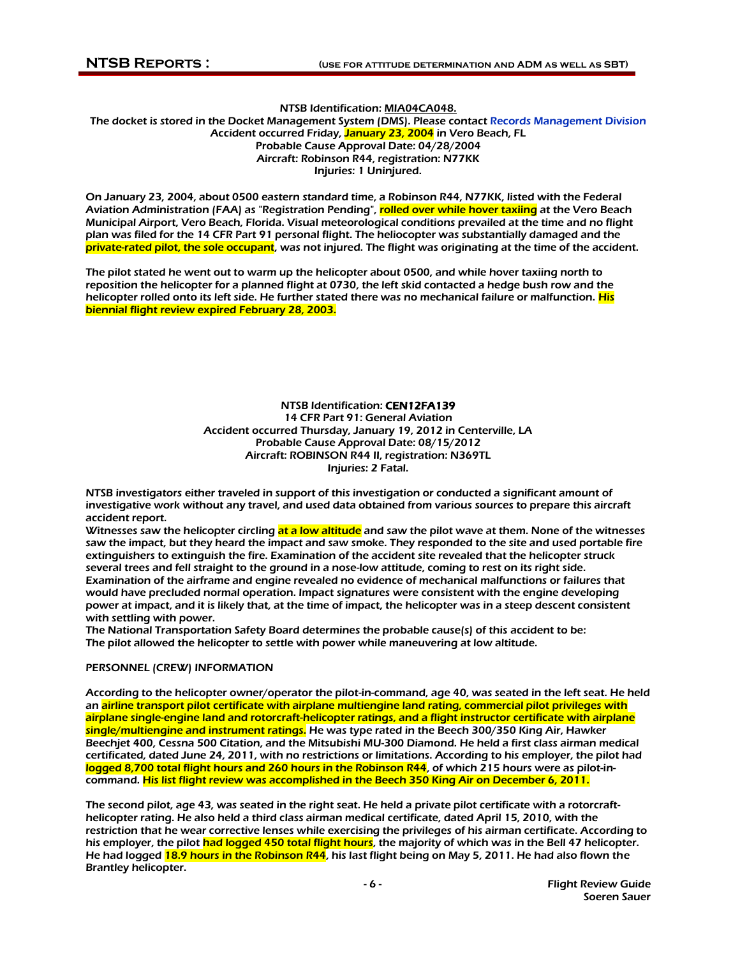#### NTSB Identification: MIA04CA048. The docket is stored in the Docket Management System (DMS). Please contac[t Records Management Division](http://www.ntsb.gov/info/sources.htm#pib)  Accident occurred Friday, January 23, 2004 in Vero Beach, FL Probable Cause Approval Date: 04/28/2004 Aircraft: Robinson R44, registration: N77KK Injuries: 1 Uninjured.

On January 23, 2004, about 0500 eastern standard time, a Robinson R44, N77KK, listed with the Federal Aviation Administration (FAA) as "Registration Pending", rolled over while hover taxiing at the Vero Beach Municipal Airport, Vero Beach, Florida. Visual meteorological conditions prevailed at the time and no flight plan was filed for the 14 CFR Part 91 personal flight. The heliocopter was substantially damaged and the private-rated pilot, the sole occupant, was not injured. The flight was originating at the time of the accident.

The pilot stated he went out to warm up the helicopter about 0500, and while hover taxiing north to reposition the helicopter for a planned flight at 0730, the left skid contacted a hedge bush row and the helicopter rolled onto its left side. He further stated there was no mechanical failure or malfunction. His biennial flight review expired February 28, 2003.

#### NTSB Identification: CEN12FA139 14 CFR Part 91: General Aviation Accident occurred Thursday, January 19, 2012 in Centerville, LA Probable Cause Approval Date: 08/15/2012 Aircraft: ROBINSON R44 II, registration: N369TL Injuries: 2 Fatal.

NTSB investigators either traveled in support of this investigation or conducted a significant amount of investigative work without any travel, and used data obtained from various sources to prepare this aircraft accident report.

Witnesses saw the helicopter circling at a low altitude and saw the pilot wave at them. None of the witnesses saw the impact, but they heard the impact and saw smoke. They responded to the site and used portable fire extinguishers to extinguish the fire. Examination of the accident site revealed that the helicopter struck several trees and fell straight to the ground in a nose-low attitude, coming to rest on its right side. Examination of the airframe and engine revealed no evidence of mechanical malfunctions or failures that would have precluded normal operation. Impact signatures were consistent with the engine developing power at impact, and it is likely that, at the time of impact, the helicopter was in a steep descent consistent with settling with power.

The National Transportation Safety Board determines the probable cause(s) of this accident to be: The pilot allowed the helicopter to settle with power while maneuvering at low altitude.

#### PERSONNEL (CREW) INFORMATION

According to the helicopter owner/operator the pilot-in-command, age 40, was seated in the left seat. He held an airline transport pilot certificate with airplane multiengine land rating, commercial pilot privileges with airplane single-engine land and rotorcraft-helicopter ratings, and a flight instructor certificate with airplane single/multiengine and instrument ratings. He was type rated in the Beech 300/350 King Air, Hawker Beechjet 400, Cessna 500 Citation, and the Mitsubishi MU-300 Diamond. He held a first class airman medical certificated, dated June 24, 2011, with no restrictions or limitations. According to his employer, the pilot had logged 8,700 total flight hours and 260 hours in the Robinson R44, of which 215 hours were as pilot-incommand. His list flight review was accomplished in the Beech 350 King Air on December 6, 2011.

The second pilot, age 43, was seated in the right seat. He held a private pilot certificate with a rotorcrafthelicopter rating. He also held a third class airman medical certificate, dated April 15, 2010, with the restriction that he wear corrective lenses while exercising the privileges of his airman certificate. According to his employer, the pilot had logged 450 total flight hours, the majority of which was in the Bell 47 helicopter. He had logged 18.9 hours in the Robinson R44, his last flight being on May 5, 2011. He had also flown the Brantley helicopter.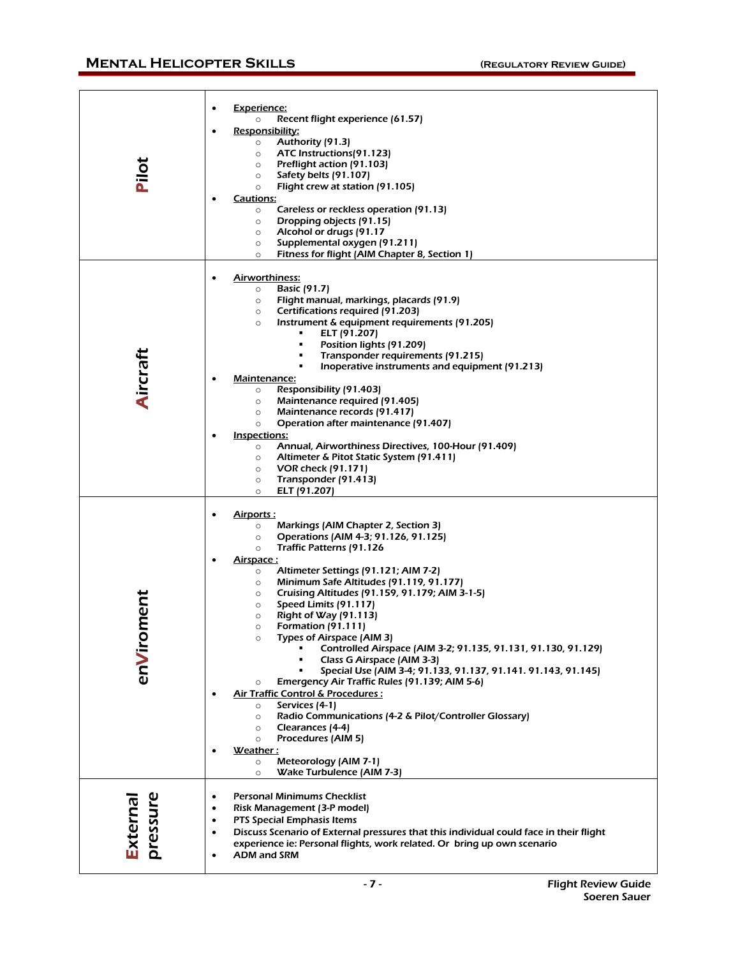# **MENTAL HELICOPTER SKILLS** (REGULATORY REVIEW GUIDE)

| Pilot               | <b>Experience:</b><br>Recent flight experience (61.57)<br>$\circ$<br>Responsibility:<br>$\bullet$<br>Authority (91.3)<br>$\circ$<br>ATC Instructions (91.123)<br>$\circ$<br>Preflight action (91.103)<br>$\circ$<br>Safety belts (91.107)<br>$\circ$<br>Flight crew at station (91.105)<br>O<br>Cautions:<br>Careless or reckless operation (91.13)<br>$\circ$<br>Dropping objects (91.15)<br>$\circ$<br>Alcohol or drugs (91.17<br>$\circ$<br>Supplemental oxygen (91.211)<br>$\circ$<br>Fitness for flight (AIM Chapter 8, Section 1)<br>$\circ$                                                                                                                                                                                                                                                                                                                                                                                                                                                                                          |
|---------------------|---------------------------------------------------------------------------------------------------------------------------------------------------------------------------------------------------------------------------------------------------------------------------------------------------------------------------------------------------------------------------------------------------------------------------------------------------------------------------------------------------------------------------------------------------------------------------------------------------------------------------------------------------------------------------------------------------------------------------------------------------------------------------------------------------------------------------------------------------------------------------------------------------------------------------------------------------------------------------------------------------------------------------------------------|
| Aircraft            | <b>Airworthiness:</b><br>Basic (91.7)<br>$\circ$<br>Flight manual, markings, placards (91.9)<br>$\circ$<br>Certifications required (91.203)<br>$\circ$<br>Instrument & equipment requirements (91.205)<br>$\circ$<br>ELT (91.207)<br>٠<br>Position lights (91.209)<br>٠<br>Transponder requirements (91.215)<br>٠<br>Inoperative instruments and equipment (91.213)<br>٠<br>Maintenance:<br>Responsibility (91.403)<br>$\circ$<br>Maintenance required (91.405)<br>$\circ$<br>Maintenance records (91.417)<br>$\circ$<br>Operation after maintenance (91.407)<br>$\circ$<br>Inspections:<br>Annual, Airworthiness Directives, 100-Hour (91.409)<br>$\circ$<br>Altimeter & Pitot Static System (91.411)<br>$\circ$<br><b>VOR check (91.171)</b><br>$\circ$<br>Transponder (91.413)<br>$\circ$<br>ELT (91.207)<br>O                                                                                                                                                                                                                           |
| ment<br>enViro      | Airports:<br>Markings (AIM Chapter 2, Section 3)<br>$\circ$<br>Operations (AIM 4-3; 91.126, 91.125)<br>$\circ$<br>Traffic Patterns (91.126<br>$\circ$<br><u>Airspace :</u><br>Altimeter Settings (91.121; AIM 7-2)<br>$\circ$<br>Minimum Safe Altitudes (91.119, 91.177)<br>$\circ$<br>Cruising Altitudes (91.159, 91.179; AIM 3-1-5)<br>$\circ$<br>Speed Limits (91.117)<br>$\circ$<br>Right of Way (91.113)<br>$\circ$<br><b>Formation (91.111)</b><br>$\circ$<br>$\circ$<br>Types of Airspace (AIM 3)<br>Controlled Airspace (AIM 3-2; 91.135, 91.131, 91.130, 91.129)<br>Class G Airspace (AIM 3-3)<br>Special Use (AIM 3-4; 91.133, 91.137, 91.141. 91.143, 91.145)<br>Emergency Air Traffic Rules (91.139; AIM 5-6)<br>$\circ$<br>Air Traffic Control & Procedures:<br>Services (4-1)<br>$\circ$<br>Radio Communications (4-2 & Pilot/Controller Glossary)<br>$\circ$<br>Clearances (4-4)<br>$\circ$<br>Procedures (AIM 5)<br>$\circ$<br><u>Weather :</u><br>Meteorology (AIM 7-1)<br>$\circ$<br>Wake Turbulence (AIM 7-3)<br>$\circ$ |
| pressure<br>Externa | <b>Personal Minimums Checklist</b><br>٠<br>Risk Management (3-P model)<br>٠<br>PTS Special Emphasis Items<br>$\bullet$<br>Discuss Scenario of External pressures that this individual could face in their flight<br>$\bullet$<br>experience ie: Personal flights, work related. Or bring up own scenario<br><b>ADM and SRM</b><br>$\bullet$                                                                                                                                                                                                                                                                                                                                                                                                                                                                                                                                                                                                                                                                                                 |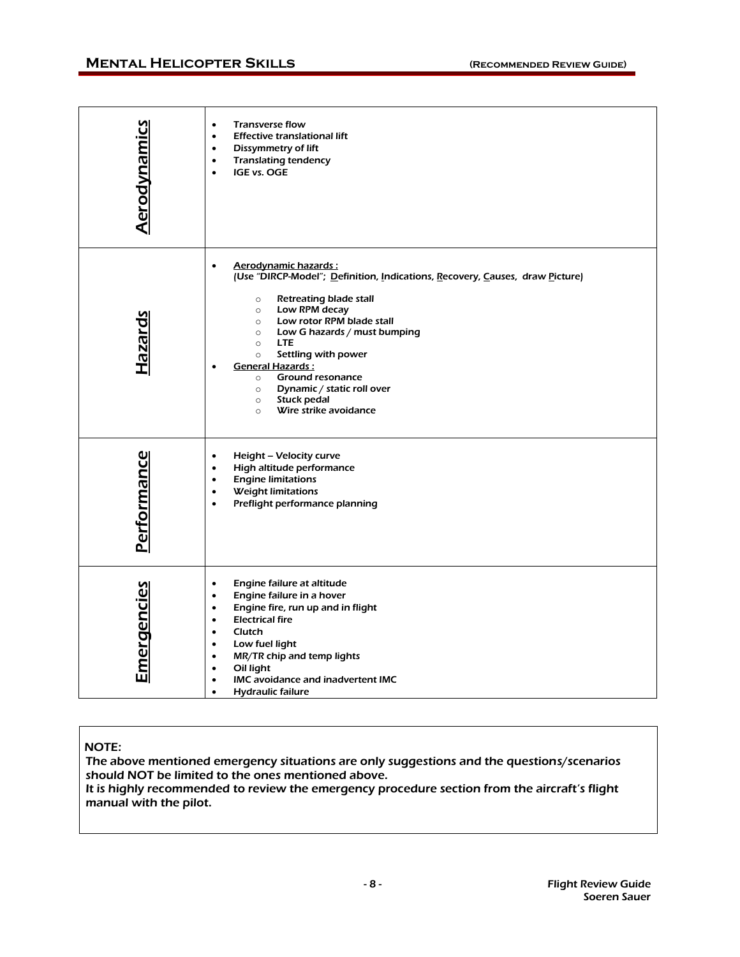## **MENTAL HELICOPTER SKILLS** (RECOMMENDED REVIEW GUIDE)

| <b>Aerodynamics</b> | <b>Transverse flow</b><br>$\bullet$<br><b>Effective translational lift</b><br>$\bullet$<br>Dissymmetry of lift<br>$\bullet$<br><b>Translating tendency</b><br>$\bullet$<br>IGE vs. OGE<br>$\bullet$                                                                                                                                                                                                                                                                                               |
|---------------------|---------------------------------------------------------------------------------------------------------------------------------------------------------------------------------------------------------------------------------------------------------------------------------------------------------------------------------------------------------------------------------------------------------------------------------------------------------------------------------------------------|
| Hazards             | Aerodynamic hazards:<br>$\bullet$<br>(Use "DIRCP-Model"; Definition, Indications, Recovery, Causes, draw Picture)<br>Retreating blade stall<br>$\circ$<br>Low RPM decay<br>$\circ$<br>Low rotor RPM blade stall<br>$\circ$<br>Low G hazards / must bumping<br>$\circ$<br><b>LTE</b><br>$\circ$<br>Settling with power<br>$\circ$<br><b>General Hazards:</b><br>Ground resonance<br>$\circ$<br>Dynamic / static roll over<br>$\circ$<br>Stuck pedal<br>$\circ$<br>Wire strike avoidance<br>$\circ$ |
| Performance         | Height - Velocity curve<br>$\bullet$<br>High altitude performance<br>$\bullet$<br><b>Engine limitations</b><br>$\bullet$<br><b>Weight limitations</b><br>$\bullet$<br>Preflight performance planning<br>$\bullet$                                                                                                                                                                                                                                                                                 |
| <b>Emergencies</b>  | Engine failure at altitude<br>$\bullet$<br>Engine failure in a hover<br>$\bullet$<br>Engine fire, run up and in flight<br>$\bullet$<br><b>Electrical fire</b><br>$\bullet$<br>Clutch<br>$\bullet$<br>Low fuel light<br>$\bullet$<br>MR/TR chip and temp lights<br>$\bullet$<br>Oil light<br>$\bullet$<br>IMC avoidance and inadvertent IMC<br><b>Hydraulic failure</b><br>$\bullet$                                                                                                               |

### NOTE:

The above mentioned emergency situations are only suggestions and the questions/scenarios should NOT be limited to the ones mentioned above. It is highly recommended to review the emergency procedure section from the aircraft's flight manual with the pilot.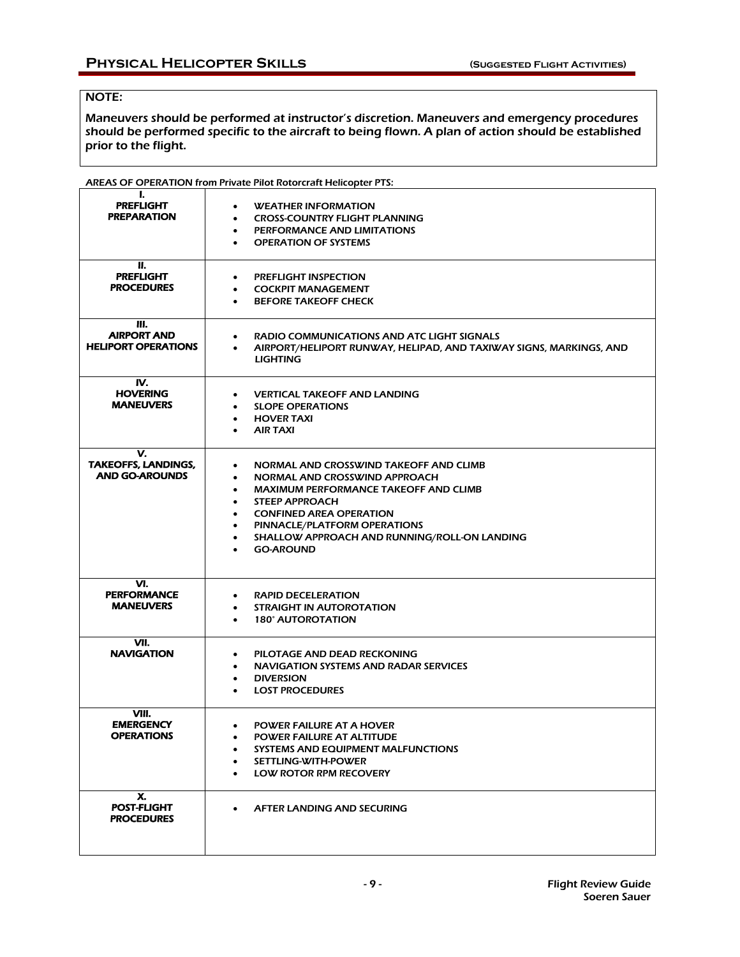## NOTE:

Maneuvers should be performed at instructor's discretion. Maneuvers and emergency procedures should be performed specific to the aircraft to being flown. A plan of action should be established prior to the flight.

|                                                           | <b>AREAS OF OPERATION from Private Pilot Rotorcraft Helicopter PTS:</b>                                                                                                                                                                                                                                       |
|-----------------------------------------------------------|---------------------------------------------------------------------------------------------------------------------------------------------------------------------------------------------------------------------------------------------------------------------------------------------------------------|
| L<br><b>PREFLIGHT</b><br><b>PREPARATION</b>               | <b>WEATHER INFORMATION</b><br>$\bullet$<br><b>CROSS-COUNTRY FLIGHT PLANNING</b><br><b>PERFORMANCE AND LIMITATIONS</b><br><b>OPERATION OF SYSTEMS</b><br>$\bullet$                                                                                                                                             |
| П.<br><b>PREFLIGHT</b><br><b>PROCEDURES</b>               | <b>PREFLIGHT INSPECTION</b><br>٠<br><b>COCKPIT MANAGEMENT</b><br><b>BEFORE TAKEOFF CHECK</b>                                                                                                                                                                                                                  |
| Ш.<br><b>AIRPORT AND</b><br><b>HELIPORT OPERATIONS</b>    | RADIO COMMUNICATIONS AND ATC LIGHT SIGNALS<br>AIRPORT/HELIPORT RUNWAY, HELIPAD, AND TAXIWAY SIGNS, MARKINGS, AND<br><b>LIGHTING</b>                                                                                                                                                                           |
| IV.<br><b>HOVERING</b><br><b>MANEUVERS</b>                | <b>VERTICAL TAKEOFF AND LANDING</b><br>٠<br><b>SLOPE OPERATIONS</b><br><b>HOVER TAXI</b><br><b>AIR TAXI</b><br>$\bullet$                                                                                                                                                                                      |
| v.<br><b>TAKEOFFS, LANDINGS,</b><br><b>AND GO-AROUNDS</b> | NORMAL AND CROSSWIND TAKEOFF AND CLIMB<br>$\bullet$<br>NORMAL AND CROSSWIND APPROACH<br><b>MAXIMUM PERFORMANCE TAKEOFF AND CLIMB</b><br><b>STEEP APPROACH</b><br>٠<br><b>CONFINED AREA OPERATION</b><br>PINNACLE/PLATFORM OPERATIONS<br>SHALLOW APPROACH AND RUNNING/ROLL-ON LANDING<br>٠<br><b>GO-AROUND</b> |
| VI.<br><b>PERFORMANCE</b><br><b>MANEUVERS</b>             | <b>RAPID DECELERATION</b><br>$\bullet$<br><b>STRAIGHT IN AUTOROTATION</b><br><b>180° AUTOROTATION</b><br>$\bullet$                                                                                                                                                                                            |
| VII.<br><b>NAVIGATION</b>                                 | PILOTAGE AND DEAD RECKONING<br><b>NAVIGATION SYSTEMS AND RADAR SERVICES</b><br>$\bullet$<br><b>DIVERSION</b><br><b>LOST PROCEDURES</b>                                                                                                                                                                        |
| VIII.<br><b>EMERGENCY</b><br><b>OPERATIONS</b>            | <b>POWER FAILURE AT A HOVER</b><br>٠<br>POWER FAILURE AT ALTITUDE<br><b>SYSTEMS AND EQUIPMENT MALFUNCTIONS</b><br>$\bullet$<br>SETTLING-WITH-POWER<br><b>LOW ROTOR RPM RECOVERY</b><br>$\bullet$                                                                                                              |
| х.<br><b>POST-FLIGHT</b><br><b>PROCEDURES</b>             | AFTER LANDING AND SECURING<br>$\bullet$                                                                                                                                                                                                                                                                       |